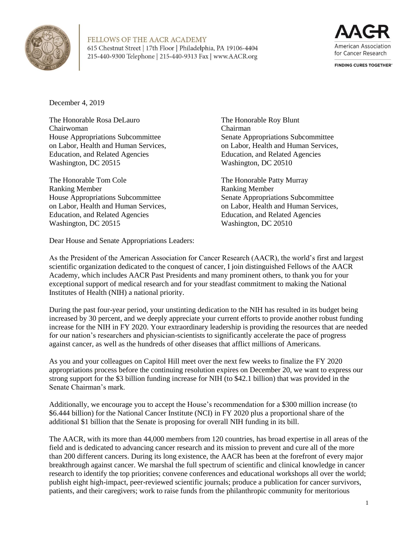



**FINDING CURES TOGETHER®** 

December 4, 2019

The Honorable Rosa DeLauro Chairwoman House Appropriations Subcommittee on Labor, Health and Human Services, Education, and Related Agencies Washington, DC 20515

The Honorable Tom Cole Ranking Member House Appropriations Subcommittee on Labor, Health and Human Services, Education, and Related Agencies Washington, DC 20515

The Honorable Roy Blunt Chairman Senate Appropriations Subcommittee on Labor, Health and Human Services, Education, and Related Agencies Washington, DC 20510

The Honorable Patty Murray Ranking Member Senate Appropriations Subcommittee on Labor, Health and Human Services, Education, and Related Agencies Washington, DC 20510

Dear House and Senate Appropriations Leaders:

As the President of the American Association for Cancer Research (AACR), the world's first and largest scientific organization dedicated to the conquest of cancer, I join distinguished Fellows of the AACR Academy, which includes AACR Past Presidents and many prominent others, to thank you for your exceptional support of medical research and for your steadfast commitment to making the National Institutes of Health (NIH) a national priority.

During the past four-year period, your unstinting dedication to the NIH has resulted in its budget being increased by 30 percent, and we deeply appreciate your current efforts to provide another robust funding increase for the NIH in FY 2020. Your extraordinary leadership is providing the resources that are needed for our nation's researchers and physician-scientists to significantly accelerate the pace of progress against cancer, as well as the hundreds of other diseases that afflict millions of Americans.

As you and your colleagues on Capitol Hill meet over the next few weeks to finalize the FY 2020 appropriations process before the continuing resolution expires on December 20, we want to express our strong support for the \$3 billion funding increase for NIH (to \$42.1 billion) that was provided in the Senate Chairman's mark.

Additionally, we encourage you to accept the House's recommendation for a \$300 million increase (to \$6.444 billion) for the National Cancer Institute (NCI) in FY 2020 plus a proportional share of the additional \$1 billion that the Senate is proposing for overall NIH funding in its bill.

The AACR, with its more than 44,000 members from 120 countries, has broad expertise in all areas of the field and is dedicated to advancing cancer research and its mission to prevent and cure all of the more than 200 different cancers. During its long existence, the AACR has been at the forefront of every major breakthrough against cancer. We marshal the full spectrum of scientific and clinical knowledge in cancer research to identify the top priorities; convene conferences and educational workshops all over the world; publish eight high-impact, peer-reviewed scientific journals; produce a publication for cancer survivors, patients, and their caregivers; work to raise funds from the philanthropic community for meritorious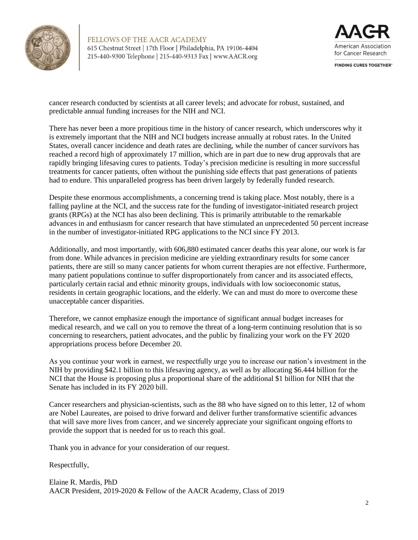



**FINDING CURES TOGETHER®** 

cancer research conducted by scientists at all career levels; and advocate for robust, sustained, and predictable annual funding increases for the NIH and NCI.

There has never been a more propitious time in the history of cancer research, which underscores why it is extremely important that the NIH and NCI budgets increase annually at robust rates. In the United States, overall cancer incidence and death rates are declining, while the number of cancer survivors has reached a record high of approximately 17 million, which are in part due to new drug approvals that are rapidly bringing lifesaving cures to patients. Today's precision medicine is resulting in more successful treatments for cancer patients, often without the punishing side effects that past generations of patients had to endure. This unparalleled progress has been driven largely by federally funded research.

Despite these enormous accomplishments, a concerning trend is taking place. Most notably, there is a falling payline at the NCI, and the success rate for the funding of investigator-initiated research project grants (RPGs) at the NCI has also been declining. This is primarily attributable to the remarkable advances in and enthusiasm for cancer research that have stimulated an unprecedented 50 percent increase in the number of investigator-initiated RPG applications to the NCI since FY 2013.

Additionally, and most importantly, with 606,880 estimated cancer deaths this year alone, our work is far from done. While advances in precision medicine are yielding extraordinary results for some cancer patients, there are still so many cancer patients for whom current therapies are not effective. Furthermore, many patient populations continue to suffer disproportionately from cancer and its associated effects, particularly certain racial and ethnic minority groups, individuals with low socioeconomic status, residents in certain geographic locations, and the elderly. We can and must do more to overcome these unacceptable cancer disparities.

Therefore, we cannot emphasize enough the importance of significant annual budget increases for medical research, and we call on you to remove the threat of a long-term continuing resolution that is so concerning to researchers, patient advocates, and the public by finalizing your work on the FY 2020 appropriations process before December 20.

As you continue your work in earnest, we respectfully urge you to increase our nation's investment in the NIH by providing \$42.1 billion to this lifesaving agency, as well as by allocating \$6.444 billion for the NCI that the House is proposing plus a proportional share of the additional \$1 billion for NIH that the Senate has included in its FY 2020 bill.

Cancer researchers and physician-scientists, such as the 88 who have signed on to this letter, 12 of whom are Nobel Laureates, are poised to drive forward and deliver further transformative scientific advances that will save more lives from cancer, and we sincerely appreciate your significant ongoing efforts to provide the support that is needed for us to reach this goal.

Thank you in advance for your consideration of our request.

Respectfully,

Elaine R. Mardis, PhD AACR President, 2019-2020 & Fellow of the AACR Academy, Class of 2019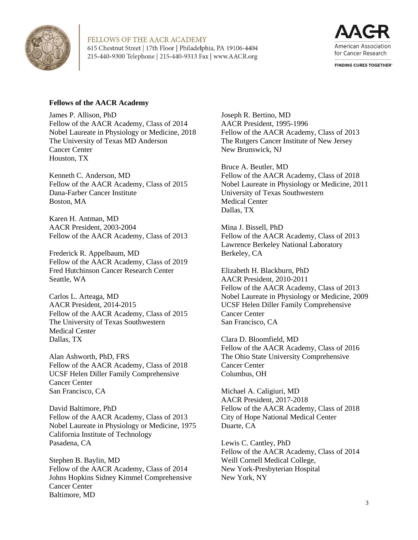



**FINDING CURES TOGETHER®** 

## **Fellows of the AACR Academy**

James P. Allison, PhD Fellow of the AACR Academy, Class of 2014 Nobel Laureate in Physiology or Medicine, 2018 The University of Texas MD Anderson Cancer Center Houston, TX

Kenneth C. Anderson, MD Fellow of the AACR Academy, Class of 2015 Dana-Farber Cancer Institute Boston, MA

Karen H. Antman, MD AACR President, 2003-2004 Fellow of the AACR Academy, Class of 2013

Frederick R. Appelbaum, MD Fellow of the AACR Academy, Class of 2019 Fred Hutchinson Cancer Research Center Seattle, WA

Carlos L. Arteaga, MD AACR President, 2014-2015 Fellow of the AACR Academy, Class of 2015 The University of Texas Southwestern Medical Center Dallas, TX

Alan Ashworth, PhD, FRS Fellow of the AACR Academy, Class of 2018 UCSF Helen Diller Family Comprehensive Cancer Center San Francisco, CA

David Baltimore, PhD Fellow of the AACR Academy, Class of 2013 Nobel Laureate in Physiology or Medicine, 1975 California Institute of Technology Pasadena, CA

Stephen B. Baylin, MD Fellow of the AACR Academy, Class of 2014 Johns Hopkins Sidney Kimmel Comprehensive Cancer Center Baltimore, MD

Joseph R. Bertino, MD AACR President, 1995-1996 Fellow of the AACR Academy, Class of 2013 The Rutgers Cancer Institute of New Jersey New Brunswick, NJ

Bruce A. Beutler, MD Fellow of the AACR Academy, Class of 2018 Nobel Laureate in Physiology or Medicine, 2011 University of Texas Southwestern Medical Center Dallas, TX

Mina J. Bissell, PhD Fellow of the AACR Academy, Class of 2013 Lawrence Berkeley National Laboratory Berkeley, CA

Elizabeth H. Blackburn, PhD AACR President, 2010-2011 Fellow of the AACR Academy, Class of 2013 Nobel Laureate in Physiology or Medicine, 2009 UCSF Helen Diller Family Comprehensive Cancer Center San Francisco, CA

Clara D. Bloomfield, MD Fellow of the AACR Academy, Class of 2016 The Ohio State University Comprehensive Cancer Center Columbus, OH

Michael A. Caligiuri, MD AACR President, 2017-2018 Fellow of the AACR Academy, Class of 2018 City of Hope National Medical Center Duarte, CA

Lewis C. Cantley, PhD Fellow of the AACR Academy, Class of 2014 Weill Cornell Medical College, New York-Presbyterian Hospital New York, NY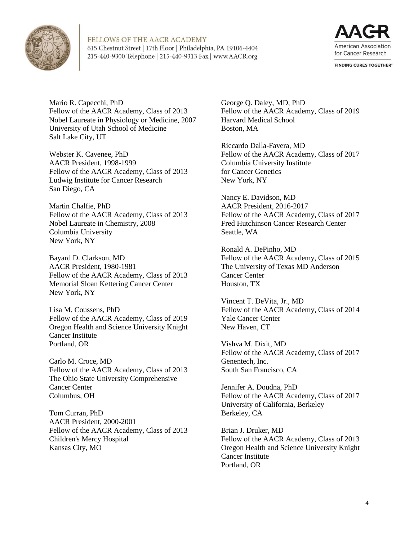



**FINDING CURES TOGETHER®** 

Mario R. Capecchi, PhD Fellow of the AACR Academy, Class of 2013 Nobel Laureate in Physiology or Medicine, 2007 University of Utah School of Medicine Salt Lake City, UT

Webster K. Cavenee, PhD AACR President, 1998-1999 Fellow of the AACR Academy, Class of 2013 Ludwig Institute for Cancer Research San Diego, CA

Martin Chalfie, PhD Fellow of the AACR Academy, Class of 2013 Nobel Laureate in Chemistry, 2008 Columbia University New York, NY

Bayard D. Clarkson, MD AACR President, 1980-1981 Fellow of the AACR Academy, Class of 2013 Memorial Sloan Kettering Cancer Center New York, NY

Lisa M. Coussens, PhD Fellow of the AACR Academy, Class of 2019 Oregon Health and Science University Knight Cancer Institute Portland, OR

Carlo M. Croce, MD Fellow of the AACR Academy, Class of 2013 The Ohio State University Comprehensive Cancer Center Columbus, OH

Tom Curran, PhD AACR President, 2000-2001 Fellow of the AACR Academy, Class of 2013 Children's Mercy Hospital Kansas City, MO

George Q. Daley, MD, PhD Fellow of the AACR Academy, Class of 2019 Harvard Medical School Boston, MA

Riccardo Dalla-Favera, MD Fellow of the AACR Academy, Class of 2017 Columbia University Institute for Cancer Genetics New York, NY

Nancy E. Davidson, MD AACR President, 2016-2017 Fellow of the AACR Academy, Class of 2017 Fred Hutchinson Cancer Research Center Seattle, WA

Ronald A. DePinho, MD Fellow of the AACR Academy, Class of 2015 The University of Texas MD Anderson Cancer Center Houston, TX

Vincent T. DeVita, Jr., MD Fellow of the AACR Academy, Class of 2014 Yale Cancer Center New Haven, CT

Vishva M. Dixit, MD Fellow of the AACR Academy, Class of 2017 Genentech, Inc. South San Francisco, CA

Jennifer A. Doudna, PhD Fellow of the AACR Academy, Class of 2017 University of California, Berkeley Berkeley, CA

Brian J. Druker, MD Fellow of the AACR Academy, Class of 2013 Oregon Health and Science University Knight Cancer Institute Portland, OR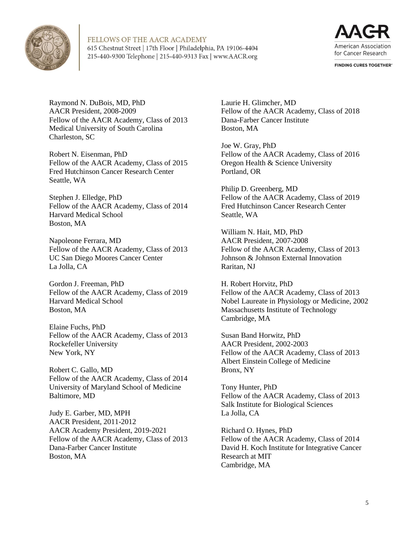



**FINDING CURES TOGETHER®** 

Raymond N. DuBois, MD, PhD AACR President, 2008-2009 Fellow of the AACR Academy, Class of 2013 Medical University of South Carolina Charleston, SC

Robert N. Eisenman, PhD Fellow of the AACR Academy, Class of 2015 Fred Hutchinson Cancer Research Center Seattle, WA

Stephen J. Elledge, PhD Fellow of the AACR Academy, Class of 2014 Harvard Medical School Boston, MA

Napoleone Ferrara, MD Fellow of the AACR Academy, Class of 2013 UC San Diego Moores Cancer Center La Jolla, CA

Gordon J. Freeman, PhD Fellow of the AACR Academy, Class of 2019 Harvard Medical School Boston, MA

Elaine Fuchs, PhD Fellow of the AACR Academy, Class of 2013 Rockefeller University New York, NY

Robert C. Gallo, MD Fellow of the AACR Academy, Class of 2014 University of Maryland School of Medicine Baltimore, MD

Judy E. Garber, MD, MPH AACR President, 2011-2012 AACR Academy President, 2019-2021 Fellow of the AACR Academy, Class of 2013 Dana-Farber Cancer Institute Boston, MA

Laurie H. Glimcher, MD Fellow of the AACR Academy, Class of 2018 Dana-Farber Cancer Institute Boston, MA

Joe W. Gray, PhD Fellow of the AACR Academy, Class of 2016 Oregon Health & Science University Portland, OR

Philip D. Greenberg, MD Fellow of the AACR Academy, Class of 2019 Fred Hutchinson Cancer Research Center Seattle, WA

William N. Hait, MD, PhD AACR President, 2007-2008 Fellow of the AACR Academy, Class of 2013 Johnson & Johnson External Innovation Raritan, NJ

H. Robert Horvitz, PhD Fellow of the AACR Academy, Class of 2013 Nobel Laureate in Physiology or Medicine, 2002 Massachusetts Institute of Technology Cambridge, MA

Susan Band Horwitz, PhD AACR President, 2002-2003 Fellow of the AACR Academy, Class of 2013 Albert Einstein College of Medicine Bronx, NY

Tony Hunter, PhD Fellow of the AACR Academy, Class of 2013 Salk Institute for Biological Sciences La Jolla, CA

Richard O. Hynes, PhD Fellow of the AACR Academy, Class of 2014 David H. Koch Institute for Integrative Cancer Research at MIT Cambridge, MA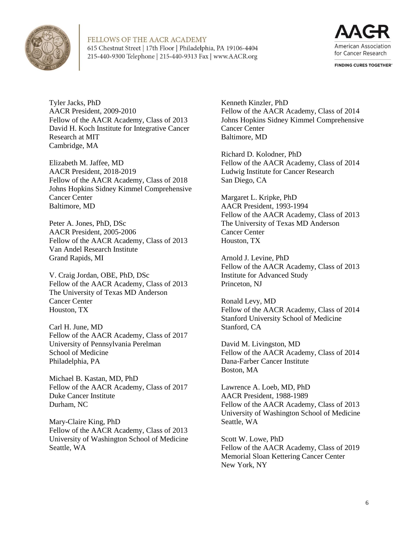



**FINDING CURES TOGETHER®** 

Tyler Jacks, PhD AACR President, 2009-2010 Fellow of the AACR Academy, Class of 2013 David H. Koch Institute for Integrative Cancer Research at MIT Cambridge, MA

Elizabeth M. Jaffee, MD AACR President, 2018-2019 Fellow of the AACR Academy, Class of 2018 Johns Hopkins Sidney Kimmel Comprehensive Cancer Center Baltimore, MD

Peter A. Jones, PhD, DSc AACR President, 2005-2006 Fellow of the AACR Academy, Class of 2013 Van Andel Research Institute Grand Rapids, MI

V. Craig Jordan, OBE, PhD, DSc Fellow of the AACR Academy, Class of 2013 The University of Texas MD Anderson Cancer Center Houston, TX

Carl H. June, MD Fellow of the AACR Academy, Class of 2017 University of Pennsylvania Perelman School of Medicine Philadelphia, PA

Michael B. Kastan, MD, PhD Fellow of the AACR Academy, Class of 2017 Duke Cancer Institute Durham, NC

Mary-Claire King, PhD Fellow of the AACR Academy, Class of 2013 University of Washington School of Medicine Seattle, WA

Kenneth Kinzler, PhD Fellow of the AACR Academy, Class of 2014 Johns Hopkins Sidney Kimmel Comprehensive Cancer Center Baltimore, MD

Richard D. Kolodner, PhD Fellow of the AACR Academy, Class of 2014 Ludwig Institute for Cancer Research San Diego, CA

Margaret L. Kripke, PhD AACR President, 1993-1994 Fellow of the AACR Academy, Class of 2013 The University of Texas MD Anderson Cancer Center Houston, TX

Arnold J. Levine, PhD Fellow of the AACR Academy, Class of 2013 Institute for Advanced Study Princeton, NJ

Ronald Levy, MD Fellow of the AACR Academy, Class of 2014 Stanford University School of Medicine Stanford, CA

David M. Livingston, MD Fellow of the AACR Academy, Class of 2014 Dana-Farber Cancer Institute Boston, MA

Lawrence A. Loeb, MD, PhD AACR President, 1988-1989 Fellow of the AACR Academy, Class of 2013 University of Washington School of Medicine Seattle, WA

Scott W. Lowe, PhD Fellow of the AACR Academy, Class of 2019 Memorial Sloan Kettering Cancer Center New York, NY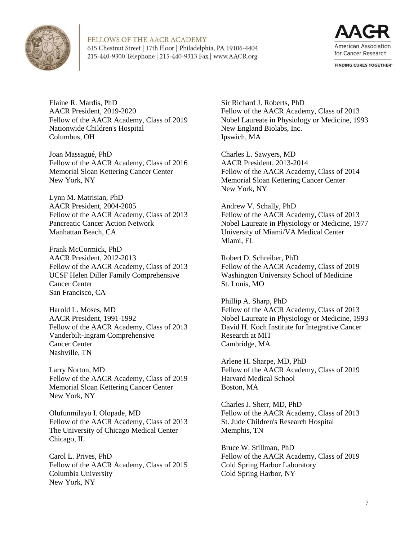



**FINDING CURES TOGETHER®** 

Elaine R. Mardis, PhD AACR President, 2019-2020 Fellow of the AACR Academy, Class of 2019 Nationwide Children's Hospital Columbus, OH

Joan Massagué, PhD Fellow of the AACR Academy, Class of 2016 Memorial Sloan Kettering Cancer Center New York, NY

Lynn M. Matrisian, PhD AACR President, 2004-2005 Fellow of the AACR Academy, Class of 2013 Pancreatic Cancer Action Network Manhattan Beach, CA

Frank McCormick, PhD AACR President, 2012-2013 Fellow of the AACR Academy, Class of 2013 UCSF Helen Diller Family Comprehensive Cancer Center San Francisco, CA

Harold L. Moses, MD AACR President, 1991-1992 Fellow of the AACR Academy, Class of 2013 Vanderbilt-Ingram Comprehensive Cancer Center Nashville, TN

Larry Norton, MD Fellow of the AACR Academy, Class of 2019 Memorial Sloan Kettering Cancer Center New York, NY

Olufunmilayo I. Olopade, MD Fellow of the AACR Academy, Class of 2013 The University of Chicago Medical Center Chicago, IL

Carol L. Prives, PhD Fellow of the AACR Academy, Class of 2015 Columbia University New York, NY

Sir Richard J. Roberts, PhD Fellow of the AACR Academy, Class of 2013 Nobel Laureate in Physiology or Medicine, 1993 New England Biolabs, Inc. Ipswich, MA

Charles L. Sawyers, MD AACR President, 2013-2014 Fellow of the AACR Academy, Class of 2014 Memorial Sloan Kettering Cancer Center New York, NY

Andrew V. Schally, PhD Fellow of the AACR Academy, Class of 2013 Nobel Laureate in Physiology or Medicine, 1977 University of Miami/VA Medical Center Miami, FL

Robert D. Schreiber, PhD Fellow of the AACR Academy, Class of 2019 Washington University School of Medicine St. Louis, MO

Phillip A. Sharp, PhD Fellow of the AACR Academy, Class of 2013 Nobel Laureate in Physiology or Medicine, 1993 David H. Koch Institute for Integrative Cancer Research at MIT Cambridge, MA

Arlene H. Sharpe, MD, PhD Fellow of the AACR Academy, Class of 2019 Harvard Medical School Boston, MA

Charles J. Sherr, MD, PhD Fellow of the AACR Academy, Class of 2013 St. Jude Children's Research Hospital Memphis, TN

Bruce W. Stillman, PhD Fellow of the AACR Academy, Class of 2019 Cold Spring Harbor Laboratory Cold Spring Harbor, NY